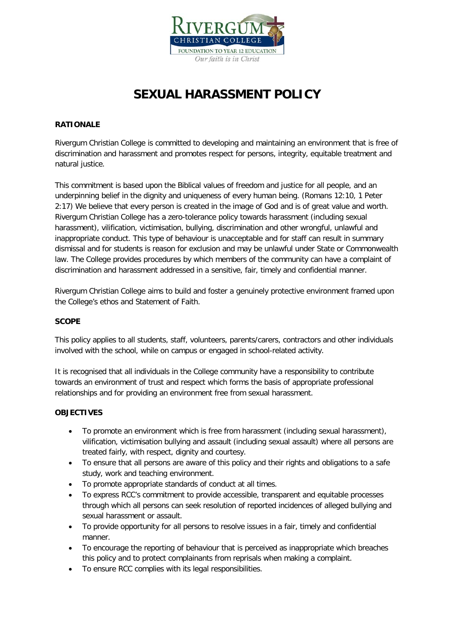

# **SEXUAL HARASSMENT POLICY**

# **RATIONALE**

Rivergum Christian College is committed to developing and maintaining an environment that is free of discrimination and harassment and promotes respect for persons, integrity, equitable treatment and natural justice.

This commitment is based upon the Biblical values of freedom and justice for all people, and an underpinning belief in the dignity and uniqueness of every human being. (Romans 12:10, 1 Peter 2:17) We believe that every person is created in the image of God and is of great value and worth. Rivergum Christian College has a zero-tolerance policy towards harassment (including sexual harassment), vilification, victimisation, bullying, discrimination and other wrongful, unlawful and inappropriate conduct. This type of behaviour is unacceptable and for staff can result in summary dismissal and for students is reason for exclusion and may be unlawful under State or Commonwealth law. The College provides procedures by which members of the community can have a complaint of discrimination and harassment addressed in a sensitive, fair, timely and confidential manner.

Rivergum Christian College aims to build and foster a genuinely protective environment framed upon the College's ethos and Statement of Faith.

## **SCOPE**

This policy applies to all students, staff, volunteers, parents/carers, contractors and other individuals involved with the school, while on campus or engaged in school-related activity.

It is recognised that all individuals in the College community have a responsibility to contribute towards an environment of trust and respect which forms the basis of appropriate professional relationships and for providing an environment free from sexual harassment.

## **OBJECTIVES**

- To promote an environment which is free from harassment (including sexual harassment), vilification, victimisation bullying and assault (including sexual assault) where all persons are treated fairly, with respect, dignity and courtesy.
- To ensure that all persons are aware of this policy and their rights and obligations to a safe study, work and teaching environment.
- To promote appropriate standards of conduct at all times.
- To express RCC's commitment to provide accessible, transparent and equitable processes through which all persons can seek resolution of reported incidences of alleged bullying and sexual harassment or assault.
- To provide opportunity for all persons to resolve issues in a fair, timely and confidential manner.
- To encourage the reporting of behaviour that is perceived as inappropriate which breaches this policy and to protect complainants from reprisals when making a complaint.
- To ensure RCC complies with its legal responsibilities.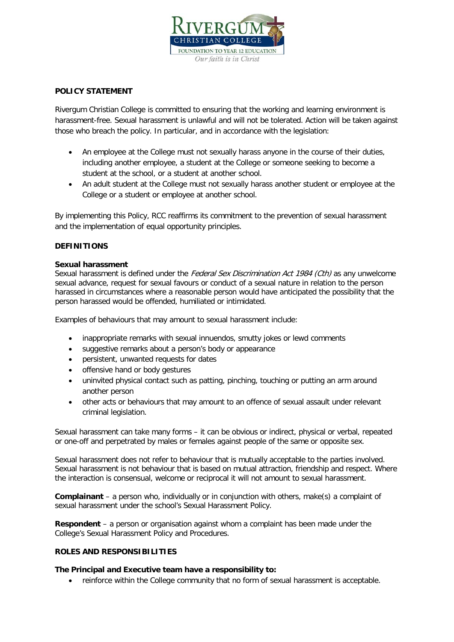

# **POLICY STATEMENT**

Rivergum Christian College is committed to ensuring that the working and learning environment is harassment-free. Sexual harassment is unlawful and will not be tolerated. Action will be taken against those who breach the policy. In particular, and in accordance with the legislation:

- An employee at the College must not sexually harass anyone in the course of their duties, including another employee, a student at the College or someone seeking to become a student at the school, or a student at another school.
- An adult student at the College must not sexually harass another student or employee at the College or a student or employee at another school.

By implementing this Policy, RCC reaffirms its commitment to the prevention of sexual harassment and the implementation of equal opportunity principles.

# **DEFINITIONS**

#### **Sexual harassment**

Sexual harassment is defined under the *Federal Sex Discrimination Act 1984 (Cth)* as any unwelcome sexual advance, request for sexual favours or conduct of a sexual nature in relation to the person harassed in circumstances where a reasonable person would have anticipated the possibility that the person harassed would be offended, humiliated or intimidated.

Examples of behaviours that may amount to sexual harassment include:

- inappropriate remarks with sexual innuendos, smutty jokes or lewd comments
- suggestive remarks about a person's body or appearance
- persistent, unwanted requests for dates
- offensive hand or body gestures
- uninvited physical contact such as patting, pinching, touching or putting an arm around another person
- other acts or behaviours that may amount to an offence of sexual assault under relevant criminal legislation.

Sexual harassment can take many forms – it can be obvious or indirect, physical or verbal, repeated or one-off and perpetrated by males or females against people of the same or opposite sex.

Sexual harassment does not refer to behaviour that is mutually acceptable to the parties involved. Sexual harassment is not behaviour that is based on mutual attraction, friendship and respect. Where the interaction is consensual, welcome or reciprocal it will not amount to sexual harassment.

**Complainant** – a person who, individually or in conjunction with others, make(s) a complaint of sexual harassment under the school's Sexual Harassment Policy.

**Respondent** – a person or organisation against whom a complaint has been made under the College's Sexual Harassment Policy and Procedures.

# **ROLES AND RESPONSIBILITIES**

## **The Principal and Executive team have a responsibility to:**

• reinforce within the College community that no form of sexual harassment is acceptable.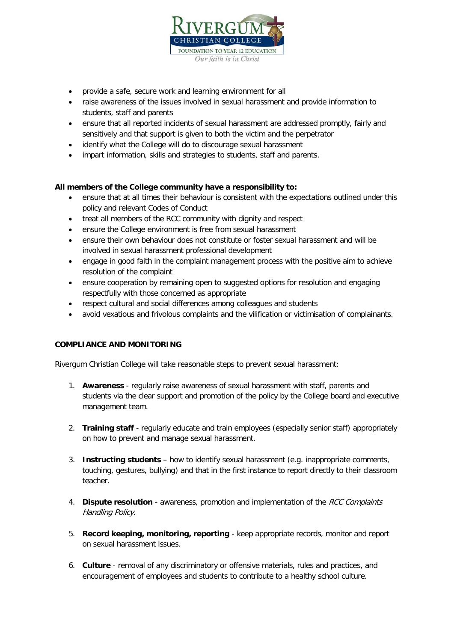

- provide a safe, secure work and learning environment for all
- raise awareness of the issues involved in sexual harassment and provide information to students, staff and parents
- ensure that all reported incidents of sexual harassment are addressed promptly, fairly and sensitively and that support is given to both the victim and the perpetrator
- identify what the College will do to discourage sexual harassment
- impart information, skills and strategies to students, staff and parents.

# **All members of the College community have a responsibility to:**

- ensure that at all times their behaviour is consistent with the expectations outlined under this policy and relevant Codes of Conduct
- treat all members of the RCC community with dignity and respect
- ensure the College environment is free from sexual harassment
- ensure their own behaviour does not constitute or foster sexual harassment and will be involved in sexual harassment professional development
- engage in good faith in the complaint management process with the positive aim to achieve resolution of the complaint
- ensure cooperation by remaining open to suggested options for resolution and engaging respectfully with those concerned as appropriate
- respect cultural and social differences among colleagues and students
- avoid vexatious and frivolous complaints and the vilification or victimisation of complainants.

## **COMPLIANCE AND MONITORING**

Rivergum Christian College will take reasonable steps to prevent sexual harassment:

- 1. **Awareness**  regularly raise awareness of sexual harassment with staff, parents and students via the clear support and promotion of the policy by the College board and executive management team.
- 2. **Training staff** regularly educate and train employees (especially senior staff) appropriately on how to prevent and manage sexual harassment.
- 3. **Instructing students** how to identify sexual harassment (e.g. inappropriate comments, touching, gestures, bullying) and that in the first instance to report directly to their classroom teacher.
- 4. **Dispute resolution** awareness, promotion and implementation of the RCC Complaints Handling Policy.
- 5. **Record keeping, monitoring, reporting** keep appropriate records, monitor and report on sexual harassment issues.
- 6. **Culture** removal of any discriminatory or offensive materials, rules and practices, and encouragement of employees and students to contribute to a healthy school culture.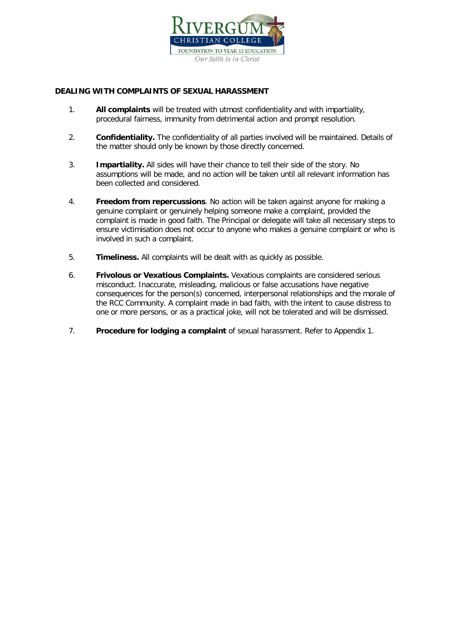

# **DEALING WITH COMPLAINTS OF SEXUAL HARASSMENT**

- 1. **All complaints** will be treated with utmost confidentiality and with impartiality, procedural fairness, immunity from detrimental action and prompt resolution.
- 2. **Confidentiality.** The confidentiality of all parties involved will be maintained. Details of the matter should only be known by those directly concerned.
- 3. **Impartiality.** All sides will have their chance to tell their side of the story. No assumptions will be made, and no action will be taken until all relevant information has been collected and considered.
- 4. **Freedom from repercussions**. No action will be taken against anyone for making a genuine complaint or genuinely helping someone make a complaint, provided the complaint is made in good faith. The Principal or delegate will take all necessary steps to ensure victimisation does not occur to anyone who makes a genuine complaint or who is involved in such a complaint.
- 5. **Timeliness.** All complaints will be dealt with as quickly as possible.
- 6. **Frivolous or Vexatious Complaints.** Vexatious complaints are considered serious misconduct. Inaccurate, misleading, malicious or false accusations have negative consequences for the person(s) concerned, interpersonal relationships and the morale of the RCC Community. A complaint made in bad faith, with the intent to cause distress to one or more persons, or as a practical joke, will not be tolerated and will be dismissed.
- 7. **Procedure for lodging a complaint** of sexual harassment. Refer to Appendix 1.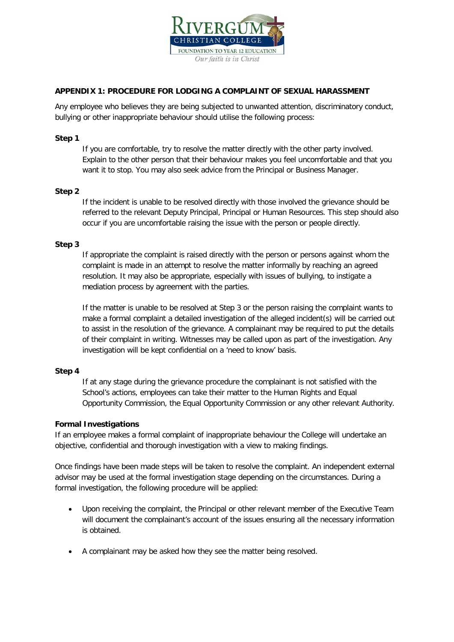

# **APPENDIX 1: PROCEDURE FOR LODGING A COMPLAINT OF SEXUAL HARASSMENT**

Any employee who believes they are being subjected to unwanted attention, discriminatory conduct, bullying or other inappropriate behaviour should utilise the following process:

#### **Step 1**

If you are comfortable, try to resolve the matter directly with the other party involved. Explain to the other person that their behaviour makes you feel uncomfortable and that you want it to stop. You may also seek advice from the Principal or Business Manager.

#### **Step 2**

If the incident is unable to be resolved directly with those involved the grievance should be referred to the relevant Deputy Principal, Principal or Human Resources. This step should also occur if you are uncomfortable raising the issue with the person or people directly.

#### **Step 3**

If appropriate the complaint is raised directly with the person or persons against whom the complaint is made in an attempt to resolve the matter informally by reaching an agreed resolution. It may also be appropriate, especially with issues of bullying, to instigate a mediation process by agreement with the parties.

If the matter is unable to be resolved at Step 3 or the person raising the complaint wants to make a formal complaint a detailed investigation of the alleged incident(s) will be carried out to assist in the resolution of the grievance. A complainant may be required to put the details of their complaint in writing. Witnesses may be called upon as part of the investigation. Any investigation will be kept confidential on a 'need to know' basis.

#### **Step 4**

If at any stage during the grievance procedure the complainant is not satisfied with the School's actions, employees can take their matter to the Human Rights and Equal Opportunity Commission, the Equal Opportunity Commission or any other relevant Authority.

## **Formal Investigations**

If an employee makes a formal complaint of inappropriate behaviour the College will undertake an objective, confidential and thorough investigation with a view to making findings.

Once findings have been made steps will be taken to resolve the complaint. An independent external advisor may be used at the formal investigation stage depending on the circumstances. During a formal investigation, the following procedure will be applied:

- Upon receiving the complaint, the Principal or other relevant member of the Executive Team will document the complainant's account of the issues ensuring all the necessary information is obtained.
- A complainant may be asked how they see the matter being resolved.